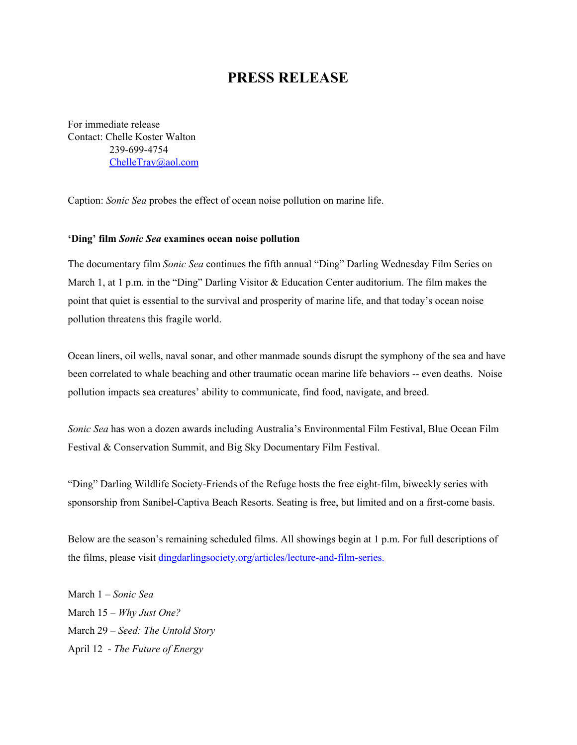## **PRESS RELEASE**

For immediate release Contact: Chelle Koster Walton 239-699-4754 [ChelleTrav@aol.com](mailto:ChelleTrav@aol.com)

Caption: *Sonic Sea* probes the effect of ocean noise pollution on marine life.

## **'Ding' film**  *Sonic Sea* **examines ocean noise pollution**

The documentary film *Sonic Sea* continues the fifth annual "Ding" Darling Wednesday Film Series on March 1, at 1 p.m. in the "Ding" Darling Visitor & Education Center auditorium. The film makes the point that quiet is essential to the survival and prosperity of marine life, and that today's ocean noise pollution threatens this fragile world.

Ocean liners, oil wells, naval sonar, and other manmade sounds disrupt the symphony of the sea and have been correlated to whale beaching and other traumatic ocean marine life behaviors -- even deaths. Noise pollution impacts sea creatures' ability to communicate, find food, navigate, and breed.

*Sonic Sea* has won a dozen awards including Australia's Environmental Film Festival, Blue Ocean Film Festival & Conservation Summit, and Big Sky Documentary Film Festival.

"Ding" Darling Wildlife Society-Friends of the Refuge hosts the free eight-film, biweekly series with sponsorship from Sanibel-Captiva Beach Resorts. Seating is free, but limited and on a first-come basis.

Below are the season's remaining scheduled films. All showings begin at 1 p.m. For full descriptions of the films, please visit [dingdarlingsociety.org/articles/lecture-and-film-series.](http://www.dingdarlingsociety.org/films)

March 1 – *Sonic Sea* March 15 – *Why Just One?* March 29 – *Seed: The Untold Story* April 12 - *The Future of Energy*